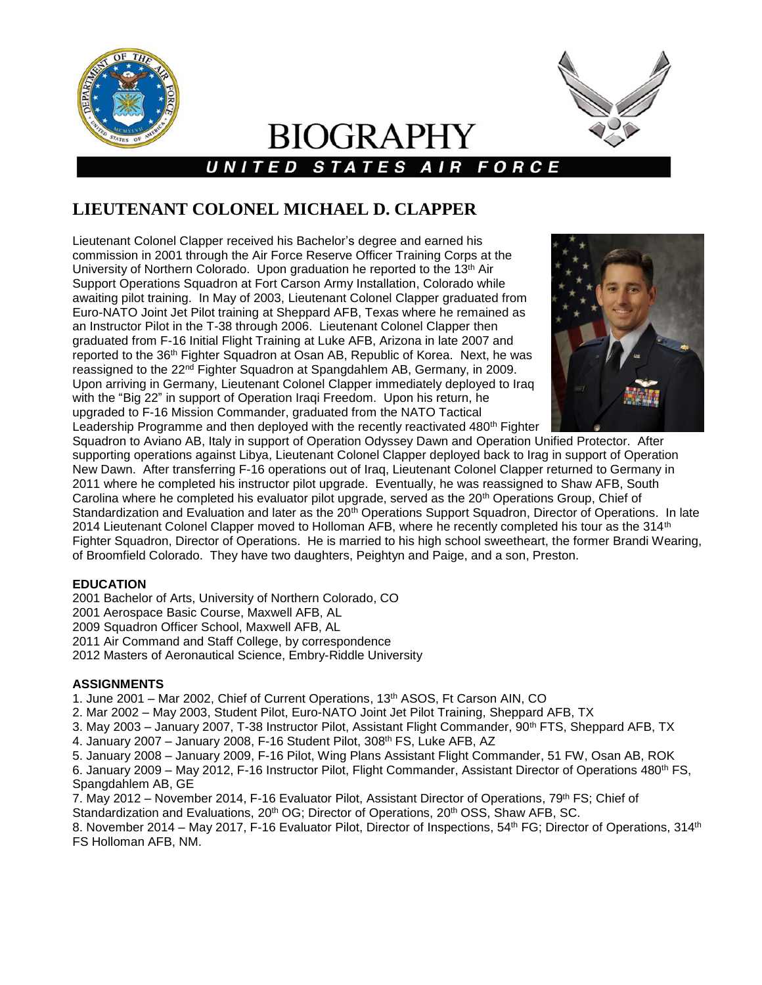



# **BIOGRAPHY** UNITED STATES AIR FORCE

## **LIEUTENANT COLONEL MICHAEL D. CLAPPER**

Lieutenant Colonel Clapper received his Bachelor's degree and earned his commission in 2001 through the Air Force Reserve Officer Training Corps at the University of Northern Colorado. Upon graduation he reported to the 13th Air Support Operations Squadron at Fort Carson Army Installation, Colorado while awaiting pilot training. In May of 2003, Lieutenant Colonel Clapper graduated from Euro-NATO Joint Jet Pilot training at Sheppard AFB, Texas where he remained as an Instructor Pilot in the T-38 through 2006. Lieutenant Colonel Clapper then graduated from F-16 Initial Flight Training at Luke AFB, Arizona in late 2007 and reported to the 36<sup>th</sup> Fighter Squadron at Osan AB, Republic of Korea. Next, he was reassigned to the 22<sup>nd</sup> Fighter Squadron at Spangdahlem AB, Germany, in 2009. Upon arriving in Germany, Lieutenant Colonel Clapper immediately deployed to Iraq with the "Big 22" in support of Operation Iraqi Freedom. Upon his return, he upgraded to F-16 Mission Commander, graduated from the NATO Tactical Leadership Programme and then deployed with the recently reactivated 480<sup>th</sup> Fighter



Squadron to Aviano AB, Italy in support of Operation Odyssey Dawn and Operation Unified Protector. After supporting operations against Libya, Lieutenant Colonel Clapper deployed back to Irag in support of Operation New Dawn. After transferring F-16 operations out of Iraq, Lieutenant Colonel Clapper returned to Germany in 2011 where he completed his instructor pilot upgrade. Eventually, he was reassigned to Shaw AFB, South Carolina where he completed his evaluator pilot upgrade, served as the 20th Operations Group, Chief of Standardization and Evaluation and later as the 20<sup>th</sup> Operations Support Squadron, Director of Operations. In late 2014 Lieutenant Colonel Clapper moved to Holloman AFB, where he recently completed his tour as the 314<sup>th</sup> Fighter Squadron, Director of Operations. He is married to his high school sweetheart, the former Brandi Wearing, of Broomfield Colorado. They have two daughters, Peightyn and Paige, and a son, Preston.

### **EDUCATION**

 Bachelor of Arts, University of Northern Colorado, CO 2001 Aerospace Basic Course, Maxwell AFB, AL Squadron Officer School, Maxwell AFB, AL Air Command and Staff College, by correspondence Masters of Aeronautical Science, Embry-Riddle University

#### **ASSIGNMENTS**

1. June 2001 – Mar 2002, Chief of Current Operations, 13th ASOS, Ft Carson AIN, CO

2. Mar 2002 – May 2003, Student Pilot, Euro-NATO Joint Jet Pilot Training, Sheppard AFB, TX

3. May 2003 – January 2007, T-38 Instructor Pilot, Assistant Flight Commander, 90th FTS, Sheppard AFB, TX

4. January 2007 - January 2008, F-16 Student Pilot, 308<sup>th</sup> FS, Luke AFB, AZ

5. January 2008 – January 2009, F-16 Pilot, Wing Plans Assistant Flight Commander, 51 FW, Osan AB, ROK

6. January 2009 – May 2012, F-16 Instructor Pilot, Flight Commander, Assistant Director of Operations 480<sup>th</sup> FS, Spangdahlem AB, GE

7. May 2012 – November 2014, F-16 Evaluator Pilot, Assistant Director of Operations, 79<sup>th</sup> FS; Chief of Standardization and Evaluations, 20<sup>th</sup> OG; Director of Operations, 20<sup>th</sup> OSS, Shaw AFB, SC.

8. November 2014 – May 2017, F-16 Evaluator Pilot, Director of Inspections, 54<sup>th</sup> FG; Director of Operations, 314<sup>th</sup> FS Holloman AFB, NM.